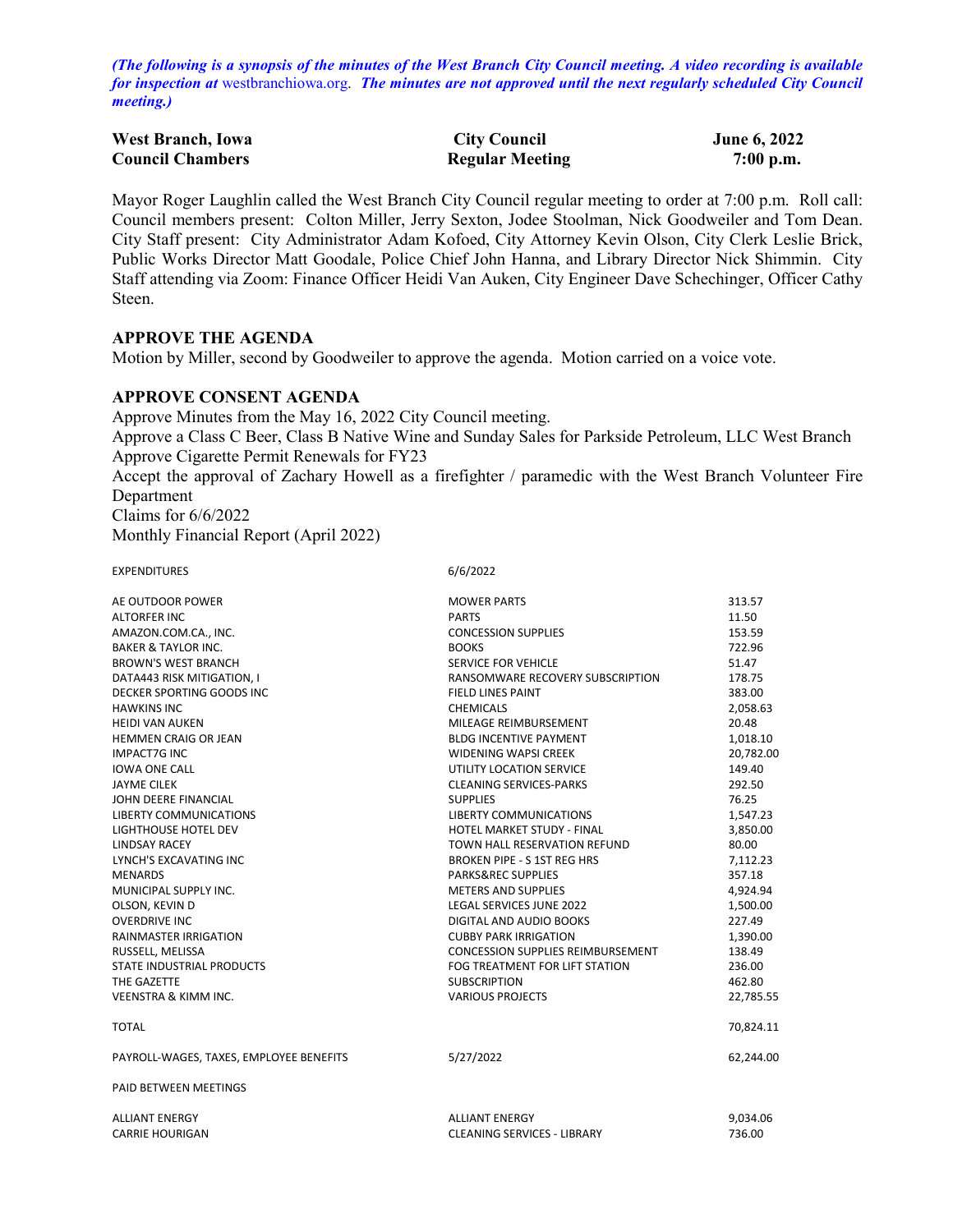*(The following is a synopsis of the minutes of the West Branch City Council meeting. A video recording is available for inspection at* [westbranchiowa.org.](https://westbranchiowa.org/city-of-west-branch/mayor-city-council/meetings/) *The minutes are not approved until the next regularly scheduled City Council meeting.)*

| <b>West Branch, Iowa</b> | <b>City Council</b>    | <b>June 6, 2022</b> |  |
|--------------------------|------------------------|---------------------|--|
| <b>Council Chambers</b>  | <b>Regular Meeting</b> | $7:00$ p.m.         |  |

Mayor Roger Laughlin called the West Branch City Council regular meeting to order at 7:00 p.m. Roll call: Council members present: Colton Miller, Jerry Sexton, Jodee Stoolman, Nick Goodweiler and Tom Dean. City Staff present: City Administrator Adam Kofoed, City Attorney Kevin Olson, City Clerk Leslie Brick, Public Works Director Matt Goodale, Police Chief John Hanna, and Library Director Nick Shimmin. City Staff attending via Zoom: Finance Officer Heidi Van Auken, City Engineer Dave Schechinger, Officer Cathy Steen.

#### **APPROVE THE AGENDA**

Motion by Miller, second by Goodweiler to approve the agenda. Motion carried on a voice vote.

### **APPROVE CONSENT AGENDA**

Approve Minutes from the May 16, 2022 City Council meeting. Approve a Class C Beer, Class B Native Wine and Sunday Sales for Parkside Petroleum, LLC West Branch Approve Cigarette Permit Renewals for FY23 Accept the approval of Zachary Howell as a firefighter / paramedic with the West Branch Volunteer Fire Department Claims for 6/6/2022

Monthly Financial Report (April 2022)

EXPENDITURES 6/6/2022

| AE OUTDOOR POWER                        | <b>MOWER PARTS</b>                       | 313.57    |
|-----------------------------------------|------------------------------------------|-----------|
| <b>ALTORFER INC</b>                     | <b>PARTS</b>                             | 11.50     |
| AMAZON.COM.CA., INC.                    | <b>CONCESSION SUPPLIES</b>               | 153.59    |
| <b>BAKER &amp; TAYLOR INC.</b>          | <b>BOOKS</b>                             | 722.96    |
| <b>BROWN'S WEST BRANCH</b>              | SERVICE FOR VEHICLE                      | 51.47     |
| DATA443 RISK MITIGATION, I              | RANSOMWARE RECOVERY SUBSCRIPTION         | 178.75    |
| DECKER SPORTING GOODS INC               | FIELD LINES PAINT                        | 383.00    |
| <b>HAWKINS INC</b>                      | <b>CHEMICALS</b>                         | 2,058.63  |
| <b>HEIDI VAN AUKEN</b>                  | MILEAGE REIMBURSEMENT                    | 20.48     |
| <b>HEMMEN CRAIG OR JEAN</b>             | <b>BLDG INCENTIVE PAYMENT</b>            | 1,018.10  |
| <b>IMPACT7G INC</b>                     | <b>WIDENING WAPSI CREEK</b>              | 20,782.00 |
| <b>IOWA ONE CALL</b>                    | UTILITY LOCATION SERVICE                 | 149.40    |
| <b>JAYME CILEK</b>                      | <b>CLEANING SERVICES-PARKS</b>           | 292.50    |
| JOHN DEERE FINANCIAL                    | <b>SUPPLIES</b>                          | 76.25     |
| <b>LIBERTY COMMUNICATIONS</b>           | <b>LIBERTY COMMUNICATIONS</b>            | 1,547.23  |
| LIGHTHOUSE HOTEL DEV                    | HOTEL MARKET STUDY - FINAL               | 3,850.00  |
| <b>LINDSAY RACEY</b>                    | TOWN HALL RESERVATION REFUND             | 80.00     |
| LYNCH'S EXCAVATING INC                  | <b>BROKEN PIPE - S 1ST REG HRS</b>       | 7,112.23  |
| <b>MENARDS</b>                          | <b>PARKS&amp;REC SUPPLIES</b>            | 357.18    |
| MUNICIPAL SUPPLY INC.                   | <b>METERS AND SUPPLIES</b>               | 4,924.94  |
| OLSON, KEVIN D                          | LEGAL SERVICES JUNE 2022                 | 1,500.00  |
| <b>OVERDRIVE INC</b>                    | DIGITAL AND AUDIO BOOKS                  | 227.49    |
| <b>RAINMASTER IRRIGATION</b>            | <b>CUBBY PARK IRRIGATION</b>             | 1,390.00  |
| RUSSELL, MELISSA                        | <b>CONCESSION SUPPLIES REIMBURSEMENT</b> | 138.49    |
| <b>STATE INDUSTRIAL PRODUCTS</b>        | FOG TREATMENT FOR LIFT STATION           | 236.00    |
| THE GAZETTE                             | <b>SUBSCRIPTION</b>                      | 462.80    |
| <b>VEENSTRA &amp; KIMM INC.</b>         | <b>VARIOUS PROJECTS</b>                  | 22,785.55 |
| <b>TOTAL</b>                            |                                          | 70,824.11 |
| PAYROLL-WAGES, TAXES, EMPLOYEE BENEFITS | 5/27/2022                                | 62,244.00 |
| <b>PAID BETWEEN MEETINGS</b>            |                                          |           |
| <b>ALLIANT ENERGY</b>                   | <b>ALLIANT ENERGY</b>                    | 9,034.06  |
| <b>CARRIE HOURIGAN</b>                  | <b>CLEANING SERVICES - LIBRARY</b>       | 736.00    |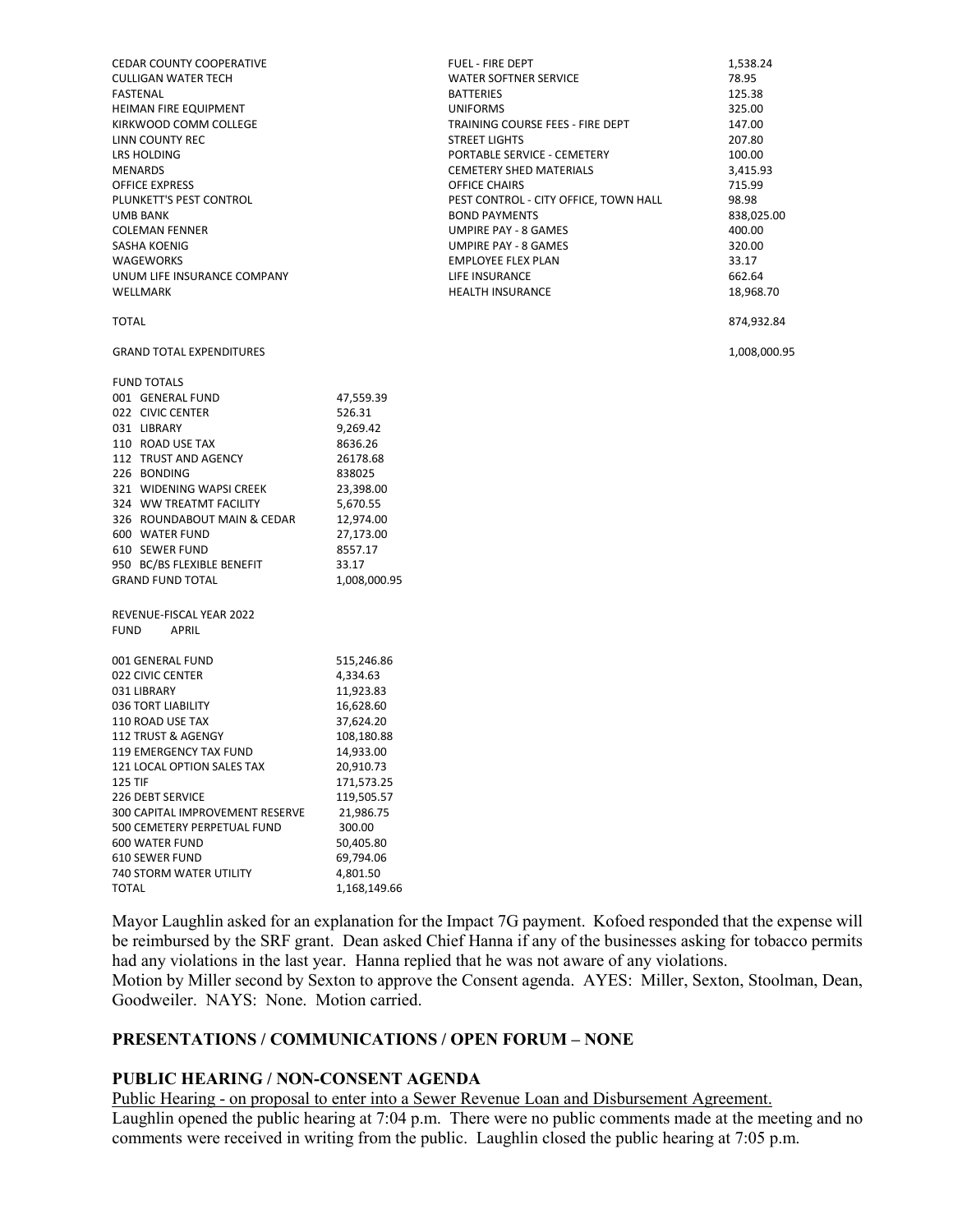| <b>CEDAR COUNTY COOPERATIVE</b><br><b>CULLIGAN WATER TECH</b><br>FASTENAL<br>HEIMAN FIRE EQUIPMENT<br>KIRKWOOD COMM COLLEGE<br>LINN COUNTY REC<br>LRS HOLDING<br><b>MENARDS</b><br><b>OFFICE EXPRESS</b><br>PLUNKETT'S PEST CONTROL<br>UMB BANK<br><b>COLEMAN FENNER</b><br>SASHA KOENIG<br>WAGEWORKS<br>UNUM LIFE INSURANCE COMPANY<br>WELLMARK                            |                                                                                                                                                                                                                | <b>FUEL - FIRE DEPT</b><br><b>WATER SOFTNER SERVICE</b><br><b>BATTERIES</b><br><b>UNIFORMS</b><br>TRAINING COURSE FEES - FIRE DEPT<br><b>STREET LIGHTS</b><br>PORTABLE SERVICE - CEMETERY<br><b>CEMETERY SHED MATERIALS</b><br>OFFICE CHAIRS<br>PEST CONTROL - CITY OFFICE, TOWN HALL<br><b>BOND PAYMENTS</b><br><b>UMPIRE PAY - 8 GAMES</b><br>UMPIRE PAY - 8 GAMES<br><b>EMPLOYEE FLEX PLAN</b><br>LIFE INSURANCE<br><b>HEALTH INSURANCE</b> | 1,538.24<br>78.95<br>125.38<br>325.00<br>147.00<br>207.80<br>100.00<br>3,415.93<br>715.99<br>98.98<br>838,025.00<br>400.00<br>320.00<br>33.17<br>662.64<br>18,968.70 |
|-----------------------------------------------------------------------------------------------------------------------------------------------------------------------------------------------------------------------------------------------------------------------------------------------------------------------------------------------------------------------------|----------------------------------------------------------------------------------------------------------------------------------------------------------------------------------------------------------------|------------------------------------------------------------------------------------------------------------------------------------------------------------------------------------------------------------------------------------------------------------------------------------------------------------------------------------------------------------------------------------------------------------------------------------------------|----------------------------------------------------------------------------------------------------------------------------------------------------------------------|
| <b>TOTAL</b>                                                                                                                                                                                                                                                                                                                                                                |                                                                                                                                                                                                                |                                                                                                                                                                                                                                                                                                                                                                                                                                                | 874,932.84                                                                                                                                                           |
| <b>GRAND TOTAL EXPENDITURES</b>                                                                                                                                                                                                                                                                                                                                             |                                                                                                                                                                                                                |                                                                                                                                                                                                                                                                                                                                                                                                                                                | 1,008,000.95                                                                                                                                                         |
| <b>FUND TOTALS</b><br>001 GENERAL FUND<br>022 CIVIC CENTER<br>031 LIBRARY<br>110 ROAD USE TAX<br>112 TRUST AND AGENCY<br>226 BONDING<br>321 WIDENING WAPSI CREEK<br>324 WW TREATMT FACILITY<br>326 ROUNDABOUT MAIN & CEDAR<br>600 WATER FUND<br>610 SEWER FUND<br>950 BC/BS FLEXIBLE BENEFIT<br><b>GRAND FUND TOTAL</b><br>REVENUE-FISCAL YEAR 2022<br><b>FUND</b><br>APRIL | 47,559.39<br>526.31<br>9,269.42<br>8636.26<br>26178.68<br>838025<br>23,398.00<br>5,670.55<br>12,974.00<br>27,173.00<br>8557.17<br>33.17<br>1,008,000.95                                                        |                                                                                                                                                                                                                                                                                                                                                                                                                                                |                                                                                                                                                                      |
| 001 GENERAL FUND<br>022 CIVIC CENTER<br>031 LIBRARY<br>036 TORT LIABILITY<br>110 ROAD USE TAX<br>112 TRUST & AGENGY<br>119 EMERGENCY TAX FUND<br>121 LOCAL OPTION SALES TAX<br><b>125 TIF</b><br>226 DEBT SERVICE<br>300 CAPITAL IMPROVEMENT RESERVE<br>500 CEMETERY PERPETUAL FUND<br>600 WATER FUND<br>610 SEWER FUND<br>740 STORM WATER UTILITY<br><b>TOTAL</b>          | 515,246.86<br>4,334.63<br>11,923.83<br>16,628.60<br>37,624.20<br>108,180.88<br>14,933.00<br>20,910.73<br>171,573.25<br>119,505.57<br>21,986.75<br>300.00<br>50,405.80<br>69,794.06<br>4,801.50<br>1,168,149.66 |                                                                                                                                                                                                                                                                                                                                                                                                                                                |                                                                                                                                                                      |

Mayor Laughlin asked for an explanation for the Impact 7G payment. Kofoed responded that the expense will be reimbursed by the SRF grant. Dean asked Chief Hanna if any of the businesses asking for tobacco permits had any violations in the last year. Hanna replied that he was not aware of any violations.

Motion by Miller second by Sexton to approve the Consent agenda. AYES: Miller, Sexton, Stoolman, Dean, Goodweiler. NAYS: None. Motion carried.

# **PRESENTATIONS / COMMUNICATIONS / OPEN FORUM – NONE**

# **PUBLIC HEARING / NON-CONSENT AGENDA**

Public Hearing - on proposal to enter into a Sewer Revenue Loan and Disbursement Agreement.

Laughlin opened the public hearing at 7:04 p.m. There were no public comments made at the meeting and no comments were received in writing from the public. Laughlin closed the public hearing at 7:05 p.m.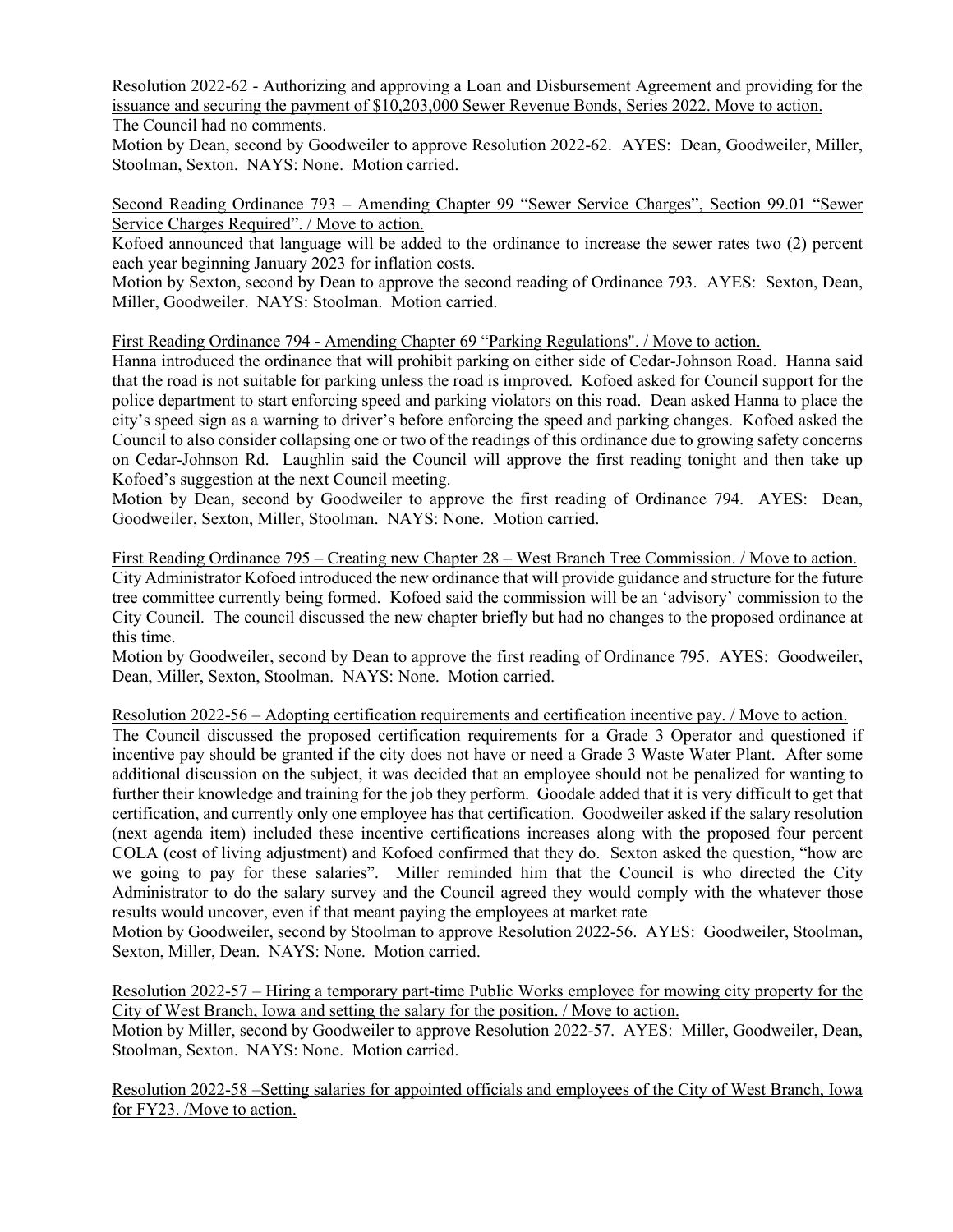Resolution 2022-62 - Authorizing and approving a Loan and Disbursement Agreement and providing for the issuance and securing the payment of \$10,203,000 Sewer Revenue Bonds, Series 2022. Move to action. The Council had no comments.

Motion by Dean, second by Goodweiler to approve Resolution 2022-62. AYES: Dean, Goodweiler, Miller, Stoolman, Sexton. NAYS: None. Motion carried.

Second Reading Ordinance 793 – Amending Chapter 99 "Sewer Service Charges", Section 99.01 "Sewer Service Charges Required". / Move to action.

Kofoed announced that language will be added to the ordinance to increase the sewer rates two (2) percent each year beginning January 2023 for inflation costs.

Motion by Sexton, second by Dean to approve the second reading of Ordinance 793. AYES: Sexton, Dean, Miller, Goodweiler. NAYS: Stoolman. Motion carried.

First Reading Ordinance 794 - Amending Chapter 69 "Parking Regulations". / Move to action.

Hanna introduced the ordinance that will prohibit parking on either side of Cedar-Johnson Road. Hanna said that the road is not suitable for parking unless the road is improved. Kofoed asked for Council support for the police department to start enforcing speed and parking violators on this road. Dean asked Hanna to place the city's speed sign as a warning to driver's before enforcing the speed and parking changes. Kofoed asked the Council to also consider collapsing one or two of the readings of this ordinance due to growing safety concerns on Cedar-Johnson Rd. Laughlin said the Council will approve the first reading tonight and then take up Kofoed's suggestion at the next Council meeting.

Motion by Dean, second by Goodweiler to approve the first reading of Ordinance 794. AYES: Dean, Goodweiler, Sexton, Miller, Stoolman. NAYS: None. Motion carried.

First Reading Ordinance 795 – Creating new Chapter 28 – West Branch Tree Commission. / Move to action. City Administrator Kofoed introduced the new ordinance that will provide guidance and structure for the future tree committee currently being formed. Kofoed said the commission will be an 'advisory' commission to the City Council. The council discussed the new chapter briefly but had no changes to the proposed ordinance at this time.

Motion by Goodweiler, second by Dean to approve the first reading of Ordinance 795. AYES: Goodweiler, Dean, Miller, Sexton, Stoolman. NAYS: None. Motion carried.

Resolution 2022-56 – Adopting certification requirements and certification incentive pay. / Move to action.

The Council discussed the proposed certification requirements for a Grade 3 Operator and questioned if incentive pay should be granted if the city does not have or need a Grade 3 Waste Water Plant. After some additional discussion on the subject, it was decided that an employee should not be penalized for wanting to further their knowledge and training for the job they perform. Goodale added that it is very difficult to get that certification, and currently only one employee has that certification. Goodweiler asked if the salary resolution (next agenda item) included these incentive certifications increases along with the proposed four percent COLA (cost of living adjustment) and Kofoed confirmed that they do. Sexton asked the question, "how are we going to pay for these salaries". Miller reminded him that the Council is who directed the City Administrator to do the salary survey and the Council agreed they would comply with the whatever those results would uncover, even if that meant paying the employees at market rate

Motion by Goodweiler, second by Stoolman to approve Resolution 2022-56. AYES: Goodweiler, Stoolman, Sexton, Miller, Dean. NAYS: None. Motion carried.

Resolution 2022-57 – Hiring a temporary part-time Public Works employee for mowing city property for the City of West Branch, Iowa and setting the salary for the position. / Move to action.

Motion by Miller, second by Goodweiler to approve Resolution 2022-57. AYES: Miller, Goodweiler, Dean, Stoolman, Sexton. NAYS: None. Motion carried.

Resolution 2022-58 –Setting salaries for appointed officials and employees of the City of West Branch, Iowa for FY23. /Move to action.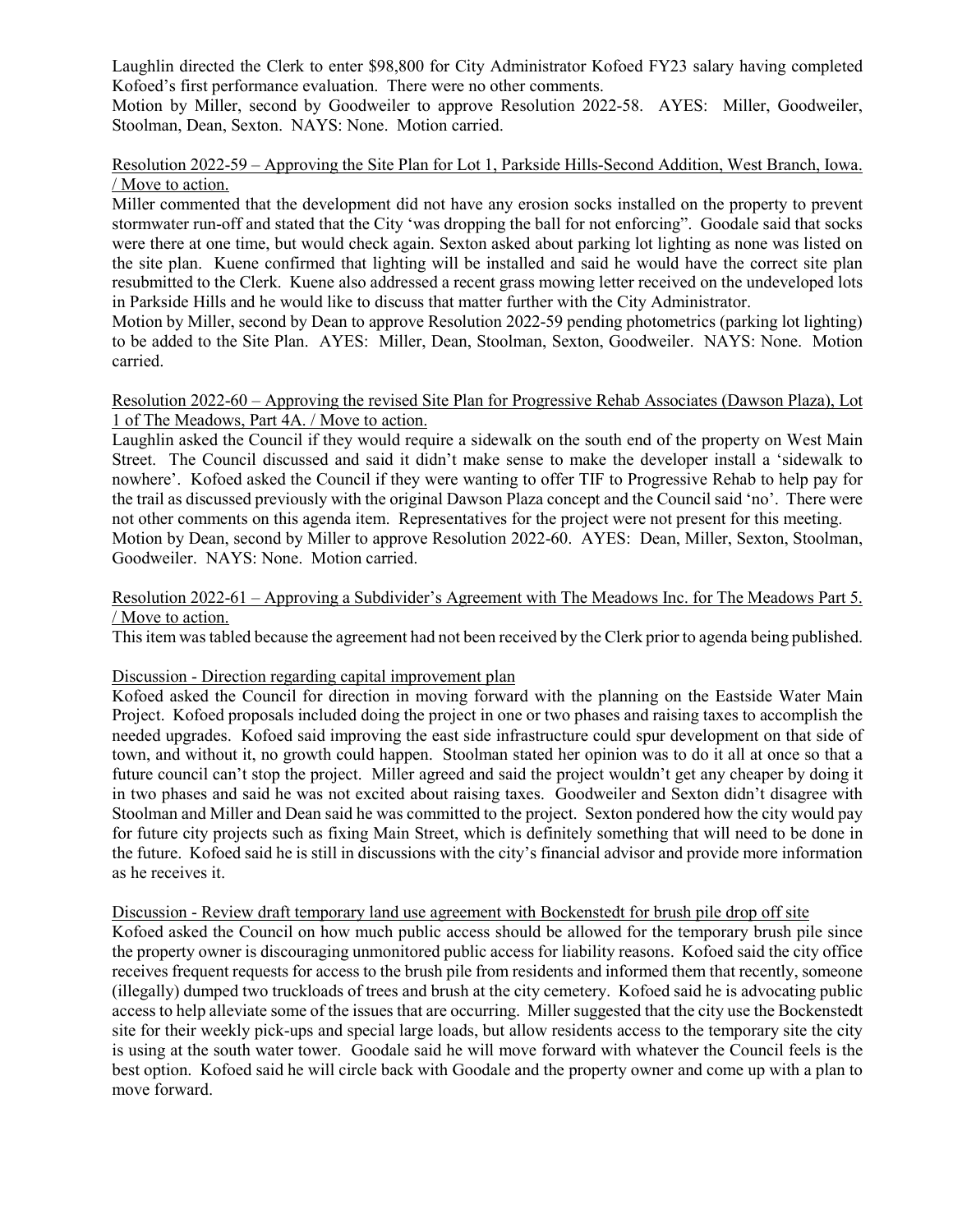Laughlin directed the Clerk to enter \$98,800 for City Administrator Kofoed FY23 salary having completed Kofoed's first performance evaluation. There were no other comments.

Motion by Miller, second by Goodweiler to approve Resolution 2022-58. AYES: Miller, Goodweiler, Stoolman, Dean, Sexton. NAYS: None. Motion carried.

### Resolution 2022-59 – Approving the Site Plan for Lot 1, Parkside Hills-Second Addition, West Branch, Iowa. / Move to action.

Miller commented that the development did not have any erosion socks installed on the property to prevent stormwater run-off and stated that the City 'was dropping the ball for not enforcing". Goodale said that socks were there at one time, but would check again. Sexton asked about parking lot lighting as none was listed on the site plan. Kuene confirmed that lighting will be installed and said he would have the correct site plan resubmitted to the Clerk. Kuene also addressed a recent grass mowing letter received on the undeveloped lots in Parkside Hills and he would like to discuss that matter further with the City Administrator.

Motion by Miller, second by Dean to approve Resolution 2022-59 pending photometrics (parking lot lighting) to be added to the Site Plan. AYES: Miller, Dean, Stoolman, Sexton, Goodweiler. NAYS: None. Motion carried.

### Resolution 2022-60 – Approving the revised Site Plan for Progressive Rehab Associates (Dawson Plaza), Lot 1 of The Meadows, Part 4A. / Move to action.

Laughlin asked the Council if they would require a sidewalk on the south end of the property on West Main Street. The Council discussed and said it didn't make sense to make the developer install a 'sidewalk to nowhere'. Kofoed asked the Council if they were wanting to offer TIF to Progressive Rehab to help pay for the trail as discussed previously with the original Dawson Plaza concept and the Council said 'no'. There were not other comments on this agenda item. Representatives for the project were not present for this meeting. Motion by Dean, second by Miller to approve Resolution 2022-60. AYES: Dean, Miller, Sexton, Stoolman, Goodweiler. NAYS: None. Motion carried.

# Resolution 2022-61 – Approving a Subdivider's Agreement with The Meadows Inc. for The Meadows Part 5. / Move to action.

This item was tabled because the agreement had not been received by the Clerk prior to agenda being published.

## Discussion - Direction regarding capital improvement plan

Kofoed asked the Council for direction in moving forward with the planning on the Eastside Water Main Project. Kofoed proposals included doing the project in one or two phases and raising taxes to accomplish the needed upgrades. Kofoed said improving the east side infrastructure could spur development on that side of town, and without it, no growth could happen. Stoolman stated her opinion was to do it all at once so that a future council can't stop the project. Miller agreed and said the project wouldn't get any cheaper by doing it in two phases and said he was not excited about raising taxes. Goodweiler and Sexton didn't disagree with Stoolman and Miller and Dean said he was committed to the project. Sexton pondered how the city would pay for future city projects such as fixing Main Street, which is definitely something that will need to be done in the future. Kofoed said he is still in discussions with the city's financial advisor and provide more information as he receives it.

#### Discussion - Review draft temporary land use agreement with Bockenstedt for brush pile drop off site

Kofoed asked the Council on how much public access should be allowed for the temporary brush pile since the property owner is discouraging unmonitored public access for liability reasons. Kofoed said the city office receives frequent requests for access to the brush pile from residents and informed them that recently, someone (illegally) dumped two truckloads of trees and brush at the city cemetery. Kofoed said he is advocating public access to help alleviate some of the issues that are occurring. Miller suggested that the city use the Bockenstedt site for their weekly pick-ups and special large loads, but allow residents access to the temporary site the city is using at the south water tower. Goodale said he will move forward with whatever the Council feels is the best option. Kofoed said he will circle back with Goodale and the property owner and come up with a plan to move forward.